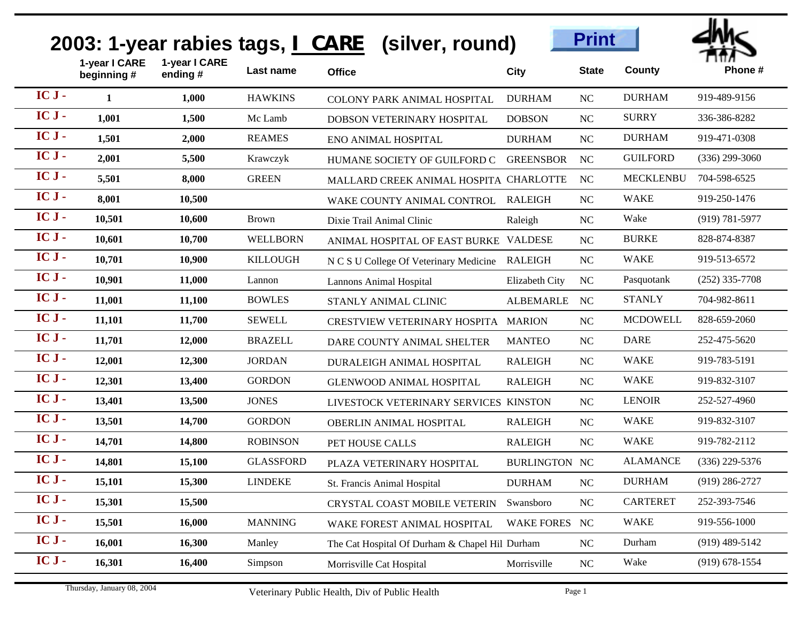## **2003: 1-year rabies tags, I CARE (silver, round)**





|         |                             |                          |                  | 2003: 1-year rabies tags, I CARE (silver, round) |                      | <b>Print</b> |                  | arvic              |
|---------|-----------------------------|--------------------------|------------------|--------------------------------------------------|----------------------|--------------|------------------|--------------------|
|         | 1-year I CARE<br>beginning# | 1-year I CARE<br>ending# | Last name        | <b>Office</b>                                    | <b>City</b>          | <b>State</b> | County           | Phone#             |
| IC J-   | 1                           | 1,000                    | <b>HAWKINS</b>   | <b>COLONY PARK ANIMAL HOSPITAL</b>               | <b>DURHAM</b>        | NC           | <b>DURHAM</b>    | 919-489-9156       |
| IC J-   | 1,001                       | 1,500                    | Mc Lamb          | DOBSON VETERINARY HOSPITAL                       | <b>DOBSON</b>        | NC           | <b>SURRY</b>     | 336-386-8282       |
| IC J-   | 1,501                       | 2,000                    | <b>REAMES</b>    | <b>ENO ANIMAL HOSPITAL</b>                       | <b>DURHAM</b>        | NC           | <b>DURHAM</b>    | 919-471-0308       |
| IC J-   | 2,001                       | 5,500                    | Krawczyk         | HUMANE SOCIETY OF GUILFORD C                     | <b>GREENSBOR</b>     | <b>NC</b>    | <b>GUILFORD</b>  | $(336)$ 299-3060   |
| $ICJ -$ | 5,501                       | 8,000                    | <b>GREEN</b>     | MALLARD CREEK ANIMAL HOSPITA CHARLOTTE           |                      | NC           | <b>MECKLENBU</b> | 704-598-6525       |
| IC J-   | 8,001                       | 10,500                   |                  | WAKE COUNTY ANIMAL CONTROL                       | <b>RALEIGH</b>       | NC           | <b>WAKE</b>      | 919-250-1476       |
| IC J-   | 10,501                      | 10,600                   | <b>Brown</b>     | Dixie Trail Animal Clinic                        | Raleigh              | NC           | Wake             | $(919) 781 - 5977$ |
| IC J-   | 10,601                      | 10,700                   | <b>WELLBORN</b>  | ANIMAL HOSPITAL OF EAST BURKE VALDESE            |                      | NC           | <b>BURKE</b>     | 828-874-8387       |
| IC J-   | 10,701                      | 10,900                   | <b>KILLOUGH</b>  | N C S U College Of Veterinary Medicine           | RALEIGH              | NC           | <b>WAKE</b>      | 919-513-6572       |
| IC J-   | 10,901                      | 11,000                   | Lannon           | <b>Lannons Animal Hospital</b>                   | Elizabeth City       | NC           | Pasquotank       | $(252)$ 335-7708   |
| IC J-   | 11,001                      | 11,100                   | <b>BOWLES</b>    | STANLY ANIMAL CLINIC                             | <b>ALBEMARLE</b>     | <b>NC</b>    | <b>STANLY</b>    | 704-982-8611       |
| IC J-   | 11,101                      | 11,700                   | <b>SEWELL</b>    | <b>CRESTVIEW VETERINARY HOSPITA</b>              | <b>MARION</b>        | NC           | <b>MCDOWELL</b>  | 828-659-2060       |
| IC J-   | 11,701                      | 12,000                   | <b>BRAZELL</b>   | DARE COUNTY ANIMAL SHELTER                       | <b>MANTEO</b>        | NC           | <b>DARE</b>      | 252-475-5620       |
| IC J-   | 12,001                      | 12,300                   | <b>JORDAN</b>    | DURALEIGH ANIMAL HOSPITAL                        | <b>RALEIGH</b>       | NC           | <b>WAKE</b>      | 919-783-5191       |
| IC J-   | 12,301                      | 13,400                   | <b>GORDON</b>    | <b>GLENWOOD ANIMAL HOSPITAL</b>                  | <b>RALEIGH</b>       | NC           | <b>WAKE</b>      | 919-832-3107       |
| IC J-   | 13,401                      | 13,500                   | <b>JONES</b>     | LIVESTOCK VETERINARY SERVICES KINSTON            |                      | NC           | <b>LENOIR</b>    | 252-527-4960       |
| IC J-   | 13,501                      | 14,700                   | <b>GORDON</b>    | OBERLIN ANIMAL HOSPITAL                          | <b>RALEIGH</b>       | NC           | <b>WAKE</b>      | 919-832-3107       |
| IC J-   | 14,701                      | 14,800                   | <b>ROBINSON</b>  | PET HOUSE CALLS                                  | <b>RALEIGH</b>       | NC           | <b>WAKE</b>      | 919-782-2112       |
| IC J-   | 14,801                      | 15,100                   | <b>GLASSFORD</b> | PLAZA VETERINARY HOSPITAL                        | <b>BURLINGTON NC</b> |              | <b>ALAMANCE</b>  | $(336)$ 229-5376   |
| IC J-   | 15,101                      | 15,300                   | <b>LINDEKE</b>   | <b>St. Francis Animal Hospital</b>               | <b>DURHAM</b>        | NC           | <b>DURHAM</b>    | $(919)$ 286-2727   |
| IC J-   | 15,301                      | 15,500                   |                  | <b>CRYSTAL COAST MOBILE VETERIN</b>              | Swansboro            | NC           | <b>CARTERET</b>  | 252-393-7546       |
| IC J-   | 15,501                      | 16,000                   | <b>MANNING</b>   | WAKE FOREST ANIMAL HOSPITAL                      | <b>WAKE FORES</b>    | <b>NC</b>    | <b>WAKE</b>      | 919-556-1000       |
| IC J-   | 16,001                      | 16,300                   | Manley           | The Cat Hospital Of Durham & Chapel Hil Durham   |                      | NC           | Durham           | $(919)$ 489-5142   |
| IC J-   | 16,301                      | 16,400                   | Simpson          | Morrisville Cat Hospital                         | Morrisville          | NC           | Wake             | $(919) 678 - 1554$ |
|         | Thursday, January 08, 2004  |                          |                  | Veterinary Public Health, Div of Public Health   |                      | Page 1       |                  |                    |